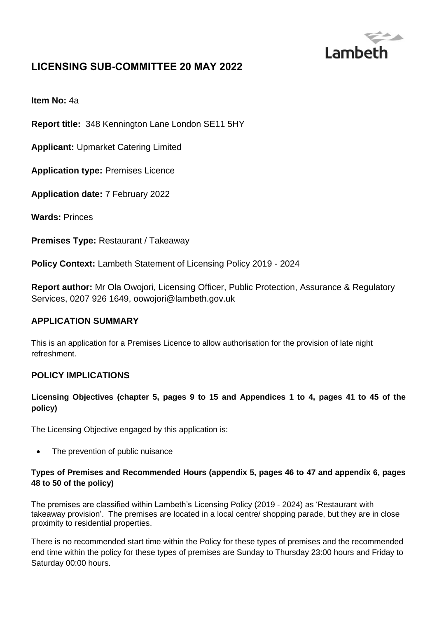

# **LICENSING SUB-COMMITTEE 20 MAY 2022**

**Item No:** 4a

**Report title:** 348 Kennington Lane London SE11 5HY

**Applicant:** Upmarket Catering Limited

**Application type:** Premises Licence

**Application date:** 7 February 2022

**Wards:** Princes

**Premises Type:** Restaurant / Takeaway

**Policy Context:** Lambeth Statement of Licensing Policy 2019 - 2024

**Report author:** Mr Ola Owojori, Licensing Officer, Public Protection, Assurance & Regulatory Services, 0207 926 1649, oowojori@lambeth.gov.uk

### **APPLICATION SUMMARY**

This is an application for a Premises Licence to allow authorisation for the provision of late night refreshment.

### **POLICY IMPLICATIONS**

### **Licensing Objectives (chapter 5, pages 9 to 15 and Appendices 1 to 4, pages 41 to 45 of the policy)**

The Licensing Objective engaged by this application is:

• The prevention of public nuisance

### **Types of Premises and Recommended Hours (appendix 5, pages 46 to 47 and appendix 6, pages 48 to 50 of the policy)**

The premises are classified within Lambeth's Licensing Policy (2019 - 2024) as 'Restaurant with takeaway provision'. The premises are located in a local centre/ shopping parade, but they are in close proximity to residential properties.

There is no recommended start time within the Policy for these types of premises and the recommended end time within the policy for these types of premises are Sunday to Thursday 23:00 hours and Friday to Saturday 00:00 hours.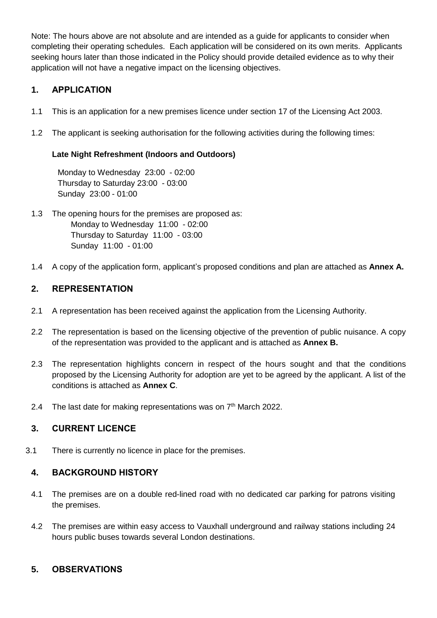Note: The hours above are not absolute and are intended as a guide for applicants to consider when completing their operating schedules. Each application will be considered on its own merits. Applicants seeking hours later than those indicated in the Policy should provide detailed evidence as to why their application will not have a negative impact on the licensing objectives.

# **1. APPLICATION**

- 1.1 This is an application for a new premises licence under section 17 of the Licensing Act 2003.
- 1.2 The applicant is seeking authorisation for the following activities during the following times:

### **Late Night Refreshment (Indoors and Outdoors)**

Monday to Wednesday 23:00 - 02:00 Thursday to Saturday 23:00 - 03:00 Sunday 23:00 - 01:00

- 1.3 The opening hours for the premises are proposed as: Monday to Wednesday 11:00 - 02:00 Thursday to Saturday 11:00 - 03:00 Sunday 11:00 - 01:00
- 1.4 A copy of the application form, applicant's proposed conditions and plan are attached as **Annex A.**

### **2. REPRESENTATION**

- 2.1 A representation has been received against the application from the Licensing Authority.
- 2.2 The representation is based on the licensing objective of the prevention of public nuisance. A copy of the representation was provided to the applicant and is attached as **Annex B.**
- 2.3 The representation highlights concern in respect of the hours sought and that the conditions proposed by the Licensing Authority for adoption are yet to be agreed by the applicant. A list of the conditions is attached as **Annex C**.
- 2.4 The last date for making representations was on  $7<sup>th</sup>$  March 2022.

## **3. CURRENT LICENCE**

3.1 There is currently no licence in place for the premises.

### **4. BACKGROUND HISTORY**

- 4.1 The premises are on a double red-lined road with no dedicated car parking for patrons visiting the premises.
- 4.2 The premises are within easy access to Vauxhall underground and railway stations including 24 hours public buses towards several London destinations.

## **5. OBSERVATIONS**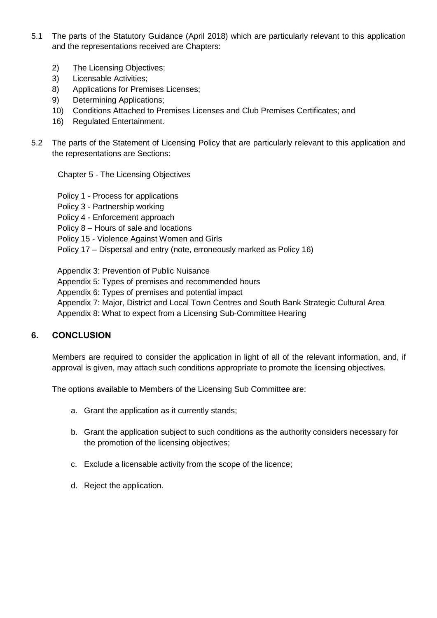- 5.1 The parts of the Statutory Guidance (April 2018) which are particularly relevant to this application and the representations received are Chapters:
	- 2) The Licensing Objectives;
	- 3) Licensable Activities;
	- 8) Applications for Premises Licenses;
	- 9) Determining Applications;
	- 10) Conditions Attached to Premises Licenses and Club Premises Certificates; and
	- 16) Regulated Entertainment.
- 5.2 The parts of the Statement of Licensing Policy that are particularly relevant to this application and the representations are Sections:

Chapter 5 - The Licensing Objectives

- Policy 1 Process for applications
- Policy 3 Partnership working
- Policy 4 Enforcement approach
- Policy 8 Hours of sale and locations
- Policy 15 Violence Against Women and Girls
- Policy 17 Dispersal and entry (note, erroneously marked as Policy 16)

Appendix 3: Prevention of Public Nuisance

- Appendix 5: Types of premises and recommended hours
- Appendix 6: Types of premises and potential impact
- Appendix 7: Major, District and Local Town Centres and South Bank Strategic Cultural Area Appendix 8: What to expect from a Licensing Sub-Committee Hearing

### **6. CONCLUSION**

Members are required to consider the application in light of all of the relevant information, and, if approval is given, may attach such conditions appropriate to promote the licensing objectives.

The options available to Members of the Licensing Sub Committee are:

- a. Grant the application as it currently stands;
- b. Grant the application subject to such conditions as the authority considers necessary for the promotion of the licensing objectives;
- c. Exclude a licensable activity from the scope of the licence;
- d. Reject the application.